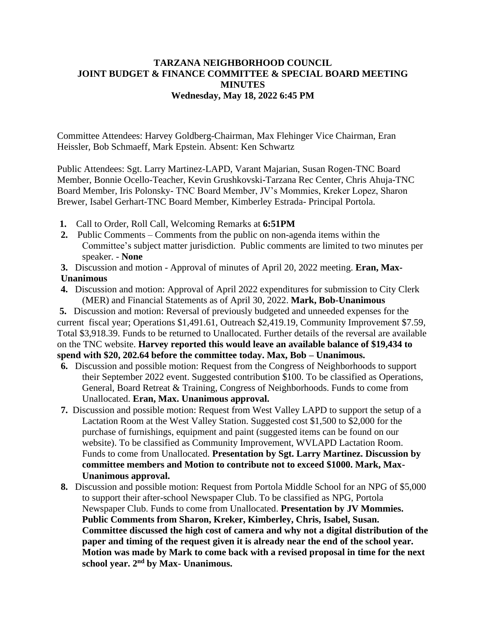## **TARZANA NEIGHBORHOOD COUNCIL JOINT BUDGET & FINANCE COMMITTEE & SPECIAL BOARD MEETING MINUTES Wednesday, May 18, 2022 6:45 PM**

Committee Attendees: Harvey Goldberg-Chairman, Max Flehinger Vice Chairman, Eran Heissler, Bob Schmaeff, Mark Epstein. Absent: Ken Schwartz

Public Attendees: Sgt. Larry Martinez-LAPD, Varant Majarian, Susan Rogen-TNC Board Member, Bonnie Ocello-Teacher, Kevin Grushkovski-Tarzana Rec Center, Chris Ahuja-TNC Board Member, Iris Polonsky- TNC Board Member, JV's Mommies, Kreker Lopez, Sharon Brewer, Isabel Gerhart-TNC Board Member, Kimberley Estrada- Principal Portola.

- **1.** Call to Order, Roll Call, Welcoming Remarks at **6:51PM**
- **2.** Public Comments Comments from the public on non-agenda items within the Committee's subject matter jurisdiction. Public comments are limited to two minutes per speaker. - **None**
- **3.** Discussion and motion Approval of minutes of April 20, 2022 meeting. **Eran, Max-Unanimous**
- **4.** Discussion and motion: Approval of April 2022 expenditures for submission to City Clerk (MER) and Financial Statements as of April 30, 2022. **Mark, Bob-Unanimous**

**5.** Discussion and motion: Reversal of previously budgeted and unneeded expenses for the current fiscal year; Operations \$1,491.61, Outreach \$2,419.19, Community Improvement \$7.59, Total \$3,918.39. Funds to be returned to Unallocated. Further details of the reversal are available on the TNC website. **Harvey reported this would leave an available balance of \$19,434 to spend with \$20, 202.64 before the committee today. Max, Bob – Unanimous.**

- **6.** Discussion and possible motion: Request from the Congress of Neighborhoods to support their September 2022 event. Suggested contribution \$100. To be classified as Operations, General, Board Retreat & Training, Congress of Neighborhoods. Funds to come from Unallocated. **Eran, Max. Unanimous approval.**
- **7.** Discussion and possible motion: Request from West Valley LAPD to support the setup of a Lactation Room at the West Valley Station. Suggested cost \$1,500 to \$2,000 for the purchase of furnishings, equipment and paint (suggested items can be found on our website). To be classified as Community Improvement, WVLAPD Lactation Room. Funds to come from Unallocated. **Presentation by Sgt. Larry Martinez. Discussion by committee members and Motion to contribute not to exceed \$1000. Mark, Max-Unanimous approval.**
- **8.** Discussion and possible motion: Request from Portola Middle School for an NPG of \$5,000 to support their after-school Newspaper Club. To be classified as NPG, Portola Newspaper Club. Funds to come from Unallocated. **Presentation by JV Mommies. Public Comments from Sharon, Kreker, Kimberley, Chris, Isabel, Susan. Committee discussed the high cost of camera and why not a digital distribution of the paper and timing of the request given it is already near the end of the school year. Motion was made by Mark to come back with a revised proposal in time for the next school year. 2nd by Max- Unanimous.**